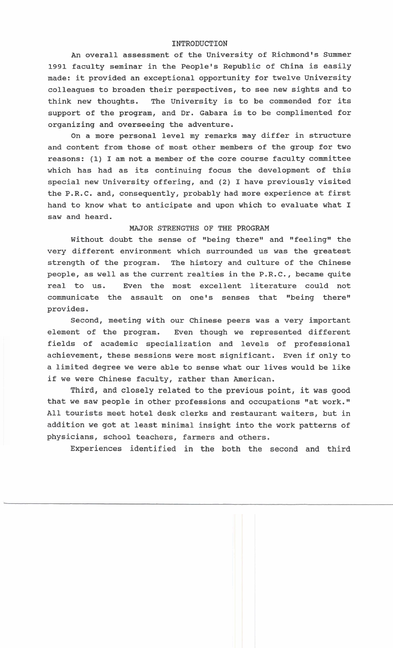## **INTRODUCTION**

An overall assessment of the University of Richmond's Summer 1991 faculty seminar in the People's Republic of China is easily made: it provided an exceptional opportunity for twelve university colleagues to broaden their perspectives, to see new sights and to think new thoughts. The University is to be commended for its support of the program, and Dr. Gabara is to be complimented for organizing and overseeing the adventure.

On a more personal level my remarks may differ in structure and content from those of most other members of the group for two reasons: (1) I am not a member of the core course faculty committee which has had as its continuing focus the development of this special new University offering, and (2) I have previously visited the P.R.C. and, consequently, probably had more experience at first hand to know what to anticipate and upon which to evaluate what I saw and heard.

## MAJOR STRENGTHS OF THE PROGRAM

Without doubt the sense of "being there" and "feeling" the very different environment which surrounded us was the greatest strength of the program. The history and culture of the Chinese people, as well as the current realties in the P.R.C., became quite real to us. Even the most excellent literature could not communicate the assault on one's senses that "being there" provides.

Second, meeting with our Chinese peers was a very important element of the program. Even though we represented different fields of academic specialization and levels of professional achievement, these sessions were most significant. Even if only to a limited degree we were able to sense what our lives would be like if we were Chinese faculty, rather than American.

Third, and closely related to the previous point, it was good that we saw people in other professions and occupations "at work." All tourists meet hotel desk clerks and restaurant waiters, but in addition we got at least minimal insight into the work patterns of physicians, school teachers, farmers and others.

Experiences identified in the both the second and third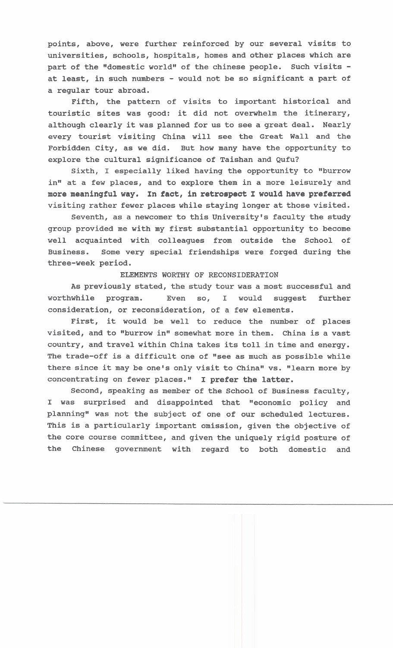**points, above, were further reinforced by our several visits to universities, schools, hospitals, homes and other places which are**  part of the "domestic world" of the chinese people. Such visits **at least, in such numbers** - **would not be so significant a part of a regular tour abroad.** 

**Fifth, the pattern of visits to important historical and touristic sites was good: it did not overwhelm the itinerary, although clearly it was planned for us to see a great deal. Nearly every tourist visiting China will see the Great Wall and the Forbidden City, as we did. But how many have the opportunity to explore the cultural significance of Taishan and Qufu?** 

**Sixth, I especially liked having the opportunity to "burrow**  in" at a few places, and to explore them in a more leisurely and **more meaningful way. In fact, in retrospect I would have preferred visiting rather fewer places while staying longer at those visited.** 

**Seventh, as a newcomer to this University's faculty the study group provided me with my first substantial opportunity to become well acquainted with colleagues from outside the School of Business. Some very special friendships were forged during the three-week period.** 

## **ELEMENTS WORTHY OF RECONSIDERATION**

**As previously stated, the study tour was a most successful and worthwhile program. Even so, I would suggest further consideration, or reconsideration, of a few elements.** 

**First, it would be well to reduce the number of places**  visited, and to "burrow in" somewhat more in them. China is a vast **country, and travel within China takes its toll in time and energy.**  The trade-off is a difficult one of "see as much as possible while there since it may be one's only visit to China" vs. "learn more by **concentrating on fewer places." I prefer the latter.** 

**Second, speaking as member of the School of Business faculty, I was surprised and disappointed that "economic policy and planningw was not the subject of one of our scheduled lectures. This is a particularly important omission, given the objective of the core course committee, and given the uniquely rigid posture of the Chinese government with regard to both domestic and**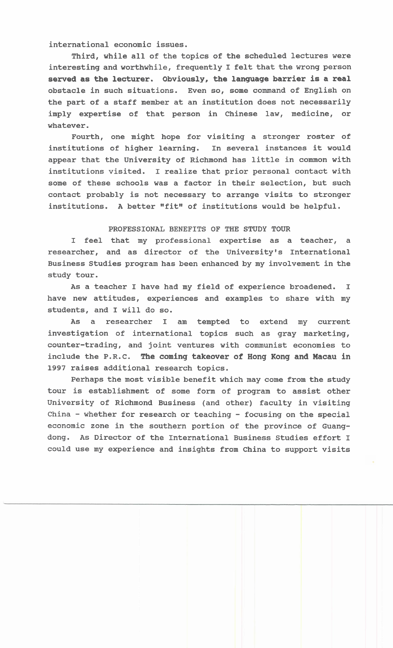**international economic issues.** 

**Third, while all of the topics of the scheduled lectures were interesting and worthwhile, frequently I felt that the wrong person served as the lecturer. Obviously, the language barrier is a real obstacle in such situations. Even so, some command of English on the part of a staff member at an institution does not necessarily imply expertise of that person in Chinese law, medicine, or whatever.** 

**Fourth, one might hope for visiting a stronger roster of institutions of higher learning. In several instances it would appear that the University of Richmond has little in common with institutions visited. I realize that prior personal contact with some of these schools was a factor in their selection, but such contact probably is not necessary to arrange visits to stronger**  institutions. A better "fit" of institutions would be helpful.

## **PROFESSIONAL BENEFITS OF THE STUDY TOUR**

**I feel that my professional expertise as a teacher, a**  researcher, and as director of the University's International **Business Studies program has been enhanced by my involvement in the study tour.** 

**As a teacher I have had my field of experience broadened. I have new attitudes, experiences and examples to share with my students, and I will do so.** 

**As a researcher I am tempted to extend my current investigation of international topics such as gray marketing, counter-trading, and joint ventures with communist economies to include the P.R.C. The coming takeover of Hong Kong and Macau in 1997 raises additional research topics.** 

**Perhaps the most visible benefit which may come from the study tour is establishment of some form of program to assist other University of Richmond Business (and other) faculty in visiting China** - **whether for research or teaching** - **focusing on the special economic zone in the southern portion of the province of Guangdong. As Director of the International Business Studies effort I could use my experience and insights from China to support visits**